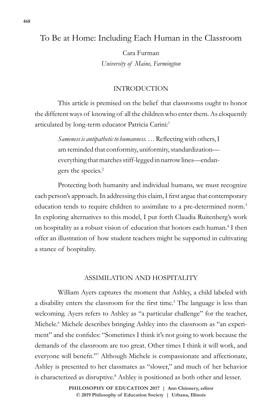# To Be at Home: Including Each Human in the Classroom

Cara Furman *University of Maine, Farmington*

# INTRODUCTION

This article is premised on the belief that classrooms ought to honor the different ways of knowing of all the children who enter them. As eloquently articulated by long-term educator Patricia Carini:1

> *Sameness is antipathetic to humanness*. … Reflecting with others, I am reminded that conformity, uniformity, standardization everything that marches stiff-legged in narrow lines—endangers the species.<sup>2</sup>

Protecting both humanity and individual humans, we must recognize each person's approach. In addressing this claim, I first argue that contemporary education tends to require children to assimilate to a pre-determined norm.<sup>3</sup> In exploring alternatives to this model, I put forth Claudia Ruitenberg's work on hospitality as a robust vision of education that honors each human.<sup>4</sup> I then offer an illustration of how student teachers might be supported in cultivating a stance of hospitality.

### ASSIMILATION AND HOSPITALITY

William Ayers captures the moment that Ashley, a child labeled with a disability enters the classroom for the first time.<sup>5</sup> The language is less than welcoming. Ayers refers to Ashley as "a particular challenge" for the teacher, Michele.<sup>6</sup> Michele describes bringing Ashley into the classroom as "an experiment" and she confides: "Sometimes I think it's not going to work because the demands of the classroom are too great. Other times I think it will work, and everyone will benefit."<sup>7</sup> Although Michele is compassionate and affectionate, Ashley is presented to her classmates as "slower," and much of her behavior is characterized as disruptive.<sup>8</sup> Ashley is positioned as both other and lesser.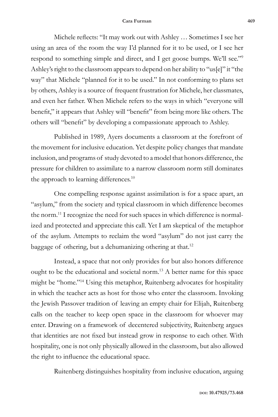#### **Cara Furman 469**

Michele reflects: "It may work out with Ashley … Sometimes I see her using an area of the room the way I'd planned for it to be used, or I see her respond to something simple and direct, and I get goose bumps. We'll see."<sup>9</sup> Ashley's right to the classroom appears to depend on her ability to "us[e]" it "the way" that Michele "planned for it to be used." In not conforming to plans set by others, Ashley is a source of frequent frustration for Michele, her classmates, and even her father. When Michele refers to the ways in which "everyone will benefit," it appears that Ashley will "benefit" from being more like others. The others will "benefit" by developing a compassionate approach to Ashley.

Published in 1989, Ayers documents a classroom at the forefront of the movement for inclusive education. Yet despite policy changes that mandate inclusion, and programs of study devoted to a model that honors difference, the pressure for children to assimilate to a narrow classroom norm still dominates the approach to learning differences.<sup>10</sup>

One compelling response against assimilation is for a space apart, an "asylum," from the society and typical classroom in which difference becomes the norm.<sup>11</sup> I recognize the need for such spaces in which difference is normalized and protected and appreciate this call. Yet I am skeptical of the metaphor of the asylum. Attempts to reclaim the word "asylum" do not just carry the baggage of othering, but a dehumanizing othering at that.<sup>12</sup>

Instead, a space that not only provides for but also honors difference ought to be the educational and societal norm.<sup>13</sup> A better name for this space might be "home."14 Using this metaphor, Ruitenberg advocates for hospitality in which the teacher acts as host for those who enter the classroom. Invoking the Jewish Passover tradition of leaving an empty chair for Elijah, Ruitenberg calls on the teacher to keep open space in the classroom for whoever may enter. Drawing on a framework of decentered subjectivity, Ruitenberg argues that identities are not fixed but instead grow in response to each other. With hospitality, one is not only physically allowed in the classroom, but also allowed the right to influence the educational space.

Ruitenberg distinguishes hospitality from inclusive education, arguing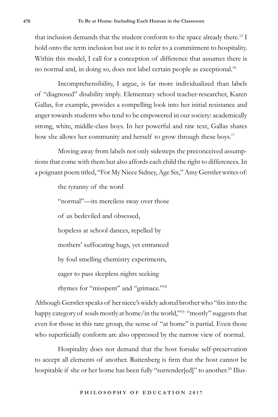that inclusion demands that the student conform to the space already there.<sup>15</sup> I hold onto the term inclusion but use it to refer to a commitment to hospitality. Within this model, I call for a conception of difference that assumes there is no normal and, in doing so, does not label certain people as exceptional.<sup>16</sup>

Incomprehensibility, I argue, is far more individualized than labels of "diagnosed" disability imply. Elementary school teacher-researcher, Karen Gallas, for example, provides a compelling look into her initial resistance and anger towards students who tend to be empowered in our society: academically strong, white, middle-class boys. In her powerful and raw text, Gallas shares how she allows her community and herself to grow through these boys.<sup>17</sup>

Moving away from labels not only sidesteps the preconceived assumptions that come with them but also affords each child the right to differences. In a poignant poem titled, "For My Niece Sidney, Age Six," Amy Gerstler writes of:

> the tyranny of the word "normal"—its merciless sway over those of us bedeviled and obsessed, hopeless at school dances, repelled by mothers' suffocating hugs, yet entranced by foul smelling chemistry experiments, eager to pass sleepless nights seeking rhymes for "misspent" and "grimace."18

Although Gerstler speaks of her niece's widely adored brother who "fits into the happy category of souls mostly at home/in the world,"<sup>19</sup> "mostly" suggests that even for those in this rare group, the sense of "at home" is partial. Even those who superficially conform are also oppressed by the narrow view of normal.

Hospitality does not demand that the host forsake self-preservation to accept all elements of another. Ruitenberg is firm that the host cannot be hospitable if she or her home has been fully "surrender[ed]" to another.<sup>20</sup> Illus-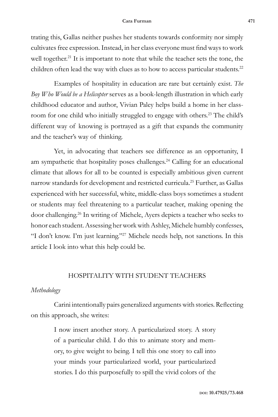#### **Cara Furman 471**

trating this, Gallas neither pushes her students towards conformity nor simply cultivates free expression. Instead, in her class everyone must find ways to work well together.<sup>21</sup> It is important to note that while the teacher sets the tone, the children often lead the way with clues as to how to access particular students.<sup>22</sup>

Examples of hospitality in education are rare but certainly exist. *The Boy Who Would be a Helicopter* serves as a book-length illustration in which early childhood educator and author, Vivian Paley helps build a home in her classroom for one child who initially struggled to engage with others.23 The child's different way of knowing is portrayed as a gift that expands the community and the teacher's way of thinking.

Yet, in advocating that teachers see difference as an opportunity, I am sympathetic that hospitality poses challenges.<sup>24</sup> Calling for an educational climate that allows for all to be counted is especially ambitious given current narrow standards for development and restricted curricula.25 Further, as Gallas experienced with her successful, white, middle-class boys sometimes a student or students may feel threatening to a particular teacher, making opening the door challenging.<sup>26</sup> In writing of Michele, Ayers depicts a teacher who seeks to honor each student. Assessing her work with Ashley, Michele humbly confesses, "I don't know. I'm just learning."<sup>27</sup> Michele needs help, not sanctions. In this article I look into what this help could be.

# HOSPITALITY WITH STUDENT TEACHERS

#### *Methodology*

Carini intentionally pairs generalized arguments with stories. Reflecting on this approach, she writes:

> I now insert another story. A particularized story. A story of a particular child. I do this to animate story and memory, to give weight to being. I tell this one story to call into your minds your particularized world, your particularized stories. I do this purposefully to spill the vivid colors of the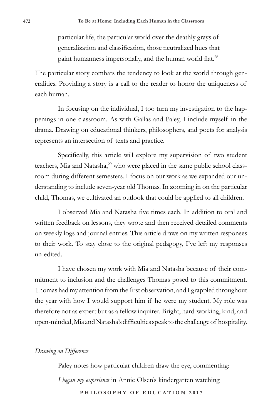particular life, the particular world over the deathly grays of generalization and classification, those neutralized hues that paint humanness impersonally, and the human world flat.<sup>28</sup>

The particular story combats the tendency to look at the world through generalities. Providing a story is a call to the reader to honor the uniqueness of each human.

In focusing on the individual, I too turn my investigation to the happenings in one classroom. As with Gallas and Paley, I include myself in the drama. Drawing on educational thinkers, philosophers, and poets for analysis represents an intersection of texts and practice.

Specifically, this article will explore my supervision of two student teachers, Mia and Natasha,<sup>29</sup> who were placed in the same public school classroom during different semesters. I focus on our work as we expanded our understanding to include seven-year old Thomas. In zooming in on the particular child, Thomas, we cultivated an outlook that could be applied to all children.

I observed Mia and Natasha five times each. In addition to oral and written feedback on lessons, they wrote and then received detailed comments on weekly logs and journal entries. This article draws on my written responses to their work. To stay close to the original pedagogy, I've left my responses un-edited.

I have chosen my work with Mia and Natasha because of their commitment to inclusion and the challenges Thomas posed to this commitment. Thomas had my attention from the first observation, and I grappled throughout the year with how I would support him if he were my student. My role was therefore not as expert but as a fellow inquirer. Bright, hard-working, kind, and open-minded, Mia and Natasha's difficulties speak to the challenge of hospitality.

#### *Drawing on Difference*

**PHILOSOPHY OF EDUCATION 2017** Paley notes how particular children draw the eye, commenting: *I began my experience* in Annie Olsen's kindergarten watching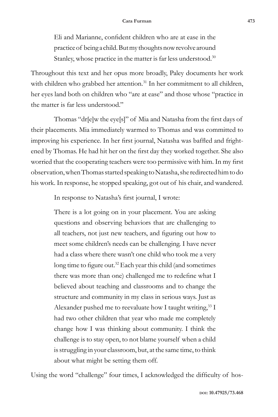Eli and Marianne, confident children who are at ease in the practice of being a child. But my thoughts now revolve around Stanley, whose practice in the matter is far less understood.<sup>30</sup>

Throughout this text and her opus more broadly, Paley documents her work with children who grabbed her attention.<sup>31</sup> In her commitment to all children, her eyes land both on children who "are at ease" and those whose "practice in the matter is far less understood."

Thomas "dr[e]w the eye[s]" of Mia and Natasha from the first days of their placements. Mia immediately warmed to Thomas and was committed to improving his experience. In her first journal, Natasha was baffled and frightened by Thomas. He had hit her on the first day they worked together. She also worried that the cooperating teachers were too permissive with him. In my first observation, when Thomas started speaking to Natasha, she redirected him to do his work. In response, he stopped speaking, got out of his chair, and wandered.

In response to Natasha's first journal, I wrote:

There is a lot going on in your placement. You are asking questions and observing behaviors that are challenging to all teachers, not just new teachers, and figuring out how to meet some children's needs can be challenging. I have never had a class where there wasn't one child who took me a very long time to figure out.<sup>32</sup> Each year this child (and sometimes there was more than one) challenged me to redefine what I believed about teaching and classrooms and to change the structure and community in my class in serious ways. Just as Alexander pushed me to reevaluate how I taught writing,  $33 \text{ I}$ had two other children that year who made me completely change how I was thinking about community. I think the challenge is to stay open, to not blame yourself when a child is struggling in your classroom, but, at the same time, to think about what might be setting them off.

Using the word "challenge" four times, I acknowledged the difficulty of hos-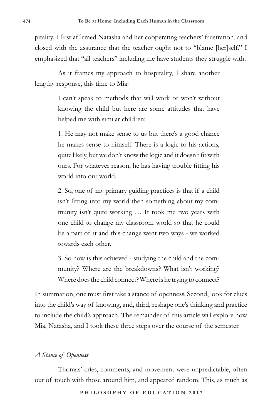pitality. I first affirmed Natasha and her cooperating teachers' frustration, and closed with the assurance that the teacher ought not to "blame [her]self." I emphasized that "all teachers" including me have students they struggle with.

As it frames my approach to hospitality, I share another lengthy response, this time to Mia:

> I can't speak to methods that will work or won't without knowing the child but here are some attitudes that have helped me with similar children:

> 1. He may not make sense to us but there's a good chance he makes sense to himself. There is a logic to his actions, quite likely, but we don't know the logic and it doesn't fit with ours. For whatever reason, he has having trouble fitting his world into our world.

> 2. So, one of my primary guiding practices is that if a child isn't fitting into my world then something about my community isn't quite working … It took me two years with one child to change my classroom world so that he could be a part of it and this change went two ways - we worked towards each other.

> 3. So how is this achieved - studying the child and the community? Where are the breakdowns? What isn't working? Where does the child connect? Where is he trying to connect?

In summation, one must first take a stance of openness. Second, look for clues into the child's way of knowing, and, third, reshape one's thinking and practice to include the child's approach. The remainder of this article will explore how Mia, Natasha, and I took these three steps over the course of the semester.

# *A Stance of Openness*

Thomas' cries, comments, and movement were unpredictable, often out of touch with those around him, and appeared random. This, as much as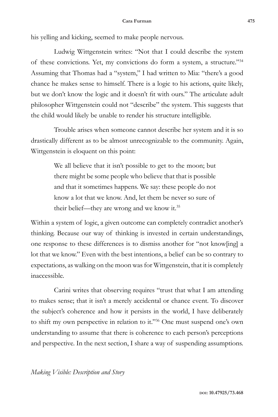#### **Cara Furman 475**

his yelling and kicking, seemed to make people nervous.

Ludwig Wittgenstein writes: "Not that I could describe the system of these convictions. Yet, my convictions do form a system, a structure."<sup>34</sup> Assuming that Thomas had a "system," I had written to Mia: "there's a good chance he makes sense to himself. There is a logic to his actions, quite likely, but we don't know the logic and it doesn't fit with ours." The articulate adult philosopher Wittgenstein could not "describe" the system. This suggests that the child would likely be unable to render his structure intelligible.

Trouble arises when someone cannot describe her system and it is so drastically different as to be almost unrecognizable to the community. Again, Wittgenstein is eloquent on this point:

> We all believe that it isn't possible to get to the moon; but there might be some people who believe that that is possible and that it sometimes happens. We say: these people do not know a lot that we know. And, let them be never so sure of their belief—they are wrong and we know it.35

Within a system of logic, a given outcome can completely contradict another's thinking. Because our way of thinking is invested in certain understandings, one response to these differences is to dismiss another for "not know[ing] a lot that we know." Even with the best intentions, a belief can be so contrary to expectations, as walking on the moon was for Wittgenstein, that it is completely inaccessible.

Carini writes that observing requires "trust that what I am attending to makes sense; that it isn't a merely accidental or chance event. To discover the subject's coherence and how it persists in the world, I have deliberately to shift my own perspective in relation to it."36 One must suspend one's own understanding to assume that there is coherence to each person's perceptions and perspective. In the next section, I share a way of suspending assumptions.

### *Making Visible: Description and Story*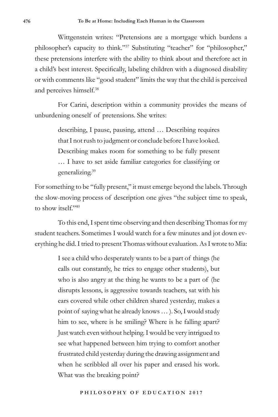Wittgenstein writes: "Pretensions are a mortgage which burdens a philosopher's capacity to think."37 Substituting "teacher" for "philosopher," these pretensions interfere with the ability to think about and therefore act in a child's best interest. Specifically, labeling children with a diagnosed disability or with comments like "good student" limits the way that the child is perceived and perceives himself.<sup>38</sup>

For Carini, description within a community provides the means of unburdening oneself of pretensions. She writes:

> describing, I pause, pausing, attend … Describing requires that I not rush to judgment or conclude before I have looked. Describing makes room for something to be fully present … I have to set aside familiar categories for classifying or generalizing.<sup>39</sup>

For something to be "fully present," it must emerge beyond the labels. Through the slow-moving process of description one gives "the subject time to speak, to show itself."<sup>40</sup>

To this end, I spent time observing and then describing Thomas for my student teachers. Sometimes I would watch for a few minutes and jot down everything he did. I tried to present Thomas without evaluation. As I wrote to Mia:

> I see a child who desperately wants to be a part of things (he calls out constantly, he tries to engage other students), but who is also angry at the thing he wants to be a part of (he disrupts lessons, is aggressive towards teachers, sat with his ears covered while other children shared yesterday, makes a point of saying what he already knows … ). So, I would study him to see, where is he smiling? Where is he falling apart? Just watch even without helping. I would be very intrigued to see what happened between him trying to comfort another frustrated child yesterday during the drawing assignment and when he scribbled all over his paper and erased his work. What was the breaking point?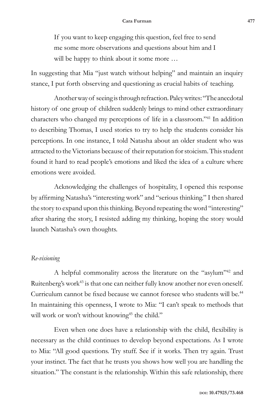If you want to keep engaging this question, feel free to send me some more observations and questions about him and I will be happy to think about it some more ...

In suggesting that Mia "just watch without helping" and maintain an inquiry stance, I put forth observing and questioning as crucial habits of teaching.

Another way of seeing is through refraction. Paley writes: "The anecdotal history of one group of children suddenly brings to mind other extraordinary characters who changed my perceptions of life in a classroom."41 In addition to describing Thomas, I used stories to try to help the students consider his perceptions. In one instance, I told Natasha about an older student who was attracted to the Victorians because of their reputation for stoicism. This student found it hard to read people's emotions and liked the idea of a culture where emotions were avoided.

Acknowledging the challenges of hospitality, I opened this response by affirming Natasha's "interesting work" and "serious thinking." I then shared the story to expand upon this thinking. Beyond repeating the word "interesting" after sharing the story, I resisted adding my thinking, hoping the story would launch Natasha's own thoughts.

#### *Re-visioning*

A helpful commonality across the literature on the "asylum"42 and Ruitenberg's work<sup>43</sup> is that one can neither fully know another nor even oneself. Curriculum cannot be fixed because we cannot foresee who students will be.<sup>44</sup> In maintaining this openness, I wrote to Mia: "I can't speak to methods that will work or won't without knowing<sup>45</sup> the child."

Even when one does have a relationship with the child, flexibility is necessary as the child continues to develop beyond expectations. As I wrote to Mia: "All good questions. Try stuff. See if it works. Then try again. Trust your instinct. The fact that he trusts you shows how well you are handling the situation." The constant is the relationship. Within this safe relationship, there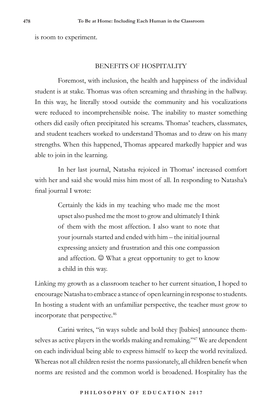is room to experiment.

### BENEFITS OF HOSPITALITY

Foremost, with inclusion, the health and happiness of the individual student is at stake. Thomas was often screaming and thrashing in the hallway. In this way, he literally stood outside the community and his vocalizations were reduced to incomprehensible noise. The inability to master something others did easily often precipitated his screams. Thomas' teachers, classmates, and student teachers worked to understand Thomas and to draw on his many strengths. When this happened, Thomas appeared markedly happier and was able to join in the learning.

In her last journal, Natasha rejoiced in Thomas' increased comfort with her and said she would miss him most of all. In responding to Natasha's final journal I wrote:

> Certainly the kids in my teaching who made me the most upset also pushed me the most to grow and ultimately I think of them with the most affection. I also want to note that your journals started and ended with him – the initial journal expressing anxiety and frustration and this one compassion and affection.  $\odot$  What a great opportunity to get to know a child in this way.

Linking my growth as a classroom teacher to her current situation, I hoped to encourage Natasha to embrace a stance of open learning in response to students. In hosting a student with an unfamiliar perspective, the teacher must grow to incorporate that perspective.46

Carini writes, "in ways subtle and bold they [babies] announce themselves as active players in the worlds making and remaking."47 We are dependent on each individual being able to express himself to keep the world revitalized. Whereas not all children resist the norms passionately, all children benefit when norms are resisted and the common world is broadened. Hospitality has the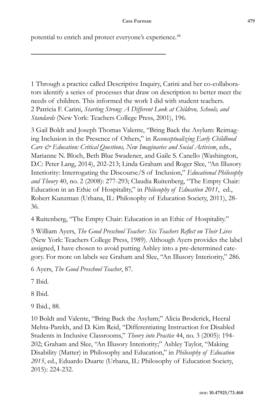potential to enrich and protect everyone's experience.<sup>48</sup>

1 Through a practice called Descriptive Inquiry, Carini and her co-collaborators identify a series of processes that draw on description to better meet the needs of children. This informed the work I did with student teachers. 2 Patricia F. Carini, *Starting Strong: A Different Look at Children, Schools, and Standards* (New York: Teachers College Press, 2001), 196.

3 Gail Boldt and Joseph Thomas Valente, "Bring Back the Asylum: Reimaging Inclusion in the Presence of Others," in *Reconceptualizing Early Childhood Care & Education: Critical Questions, New Imaginaries and Social Activism*, eds., Marianne N. Bloch, Beth Blue Swadener, and Gaile S. Canello (Washington, D.C: Peter Lang, 2014), 202-213; Linda Graham and Roger Slee, "An Illusory Interiority: Interrogating the Discourse/S of Inclusion," *Educational Philosophy and Theory* 40, no. 2 (2008): 277-293; Claudia Ruitenberg, "The Empty Chair: Education in an Ethic of Hospitality," in *Philosophy of Education 2011*, ed., Robert Kunzman (Urbana, IL: Philosophy of Education Society, 2011), 28- 36.

4 Ruitenberg, "The Empty Chair: Education in an Ethic of Hospitality."

5 William Ayers, *The Good Preschool Teacher: Six Teachers Reflect on Their Lives* (New York: Teachers College Press, 1989). Although Ayers provides the label assigned, I have chosen to avoid putting Ashley into a pre-determined category. For more on labels see Graham and Slee, "An Illusory Interiority," 286.

6 Ayers, *The Good Preschool Teacher*, 87.

7 Ibid.

8 Ibid.

9 Ibid., 88.

10 Boldt and Valente, "Bring Back the Asylum;" Alicia Broderick, Heeral Mehta-Parekh, and D. Kim Reid, "Differentiating Instruction for Disabled Students in Inclusive Classrooms," *Theory into Practice* 44, no. 3 (2005): 194- 202; Graham and Slee, "An Illusory Interiority;" Ashley Taylor, "Making Disability (Matter) in Philosophy and Education," in *Philosophy of Education 2015*, ed., Eduardo Duarte (Urbana, IL: Philosophy of Education Society, 2015): 224-232.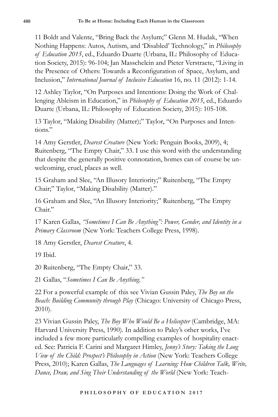11 Boldt and Valente, "Bring Back the Asylum;" Glenn M. Hudak, "When Nothing Happens: Autos, Autism, and 'Disabled' Technology," in *Philosophy of Education 2015*, ed., Eduardo Duarte (Urbana, IL: Philosophy of Education Society, 2015): 96-104; Jan Masschelein and Pieter Verstraete, "Living in the Presence of Others: Towards a Reconfiguration of Space, Asylum, and Inclusion," *International Journal of Inclusive Education* 16, no. 11 (2012): 1-14.

12 Ashley Taylor, "On Purposes and Intentions: Doing the Work of Challenging Ableism in Education," in *Philosophy of Education 2015*, ed., Eduardo Duarte (Urbana, IL: Philosophy of Education Society, 2015): 105-108.

13 Taylor, "Making Disability (Matter);" Taylor, "On Purposes and Intentions."

14 Amy Gerstler, *Dearest Creature* (New York: Penguin Books, 2009), 4; Ruitenberg, "The Empty Chair," 33. I use this word with the understanding that despite the generally positive connotation, homes can of course be unwelcoming, cruel, places as well.

15 Graham and Slee, "An Illusory Interiority;" Ruitenberg, "The Empty Chair;" Taylor, "Making Disability (Matter)."

16 Graham and Slee, "An Illusory Interiority;" Ruitenberg, "The Empty Chair."

17 Karen Gallas, *"Sometimes I Can Be Anything": Power, Gender, and Identity in a Primary Classroom* (New York: Teachers College Press, 1998).

18 Amy Gerstler, *Dearest Creature*, 4.

19 Ibid.

20 Ruitenberg, "The Empty Chair," 33.

21 Gallas, "*Sometimes I Can Be Anything*.*"*

22 For a powerful example of this see Vivian Gussin Paley, *The Boy on the Beach: Building Community through Play* (Chicago: University of Chicago Press, 2010).

23 Vivian Gussin Paley, *The Boy Who Would Be a Helicopter* (Cambridge, MA: Harvard University Press, 1990)*.* In addition to Paley's other works, I've included a few more particularly compelling examples of hospitality enacted. See: Patricia F. Carini and Margaret Himley, *Jenny's Story: Taking the Long View of the Child: Prospect's Philosophy in Action* (New York: Teachers College Press, 2010); Karen Gallas, *The Languages of Learning: How Children Talk, Write, Dance, Draw, and Sing Their Understanding of the World* (New York: Teach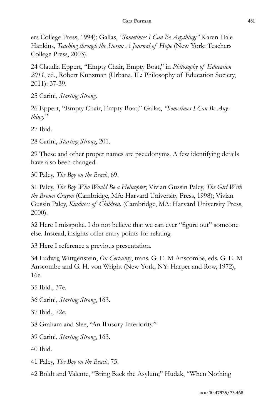ers College Press, 1994); Gallas, *"Sometimes I Can Be Anything;"* Karen Hale Hankins, *Teaching through the Storm: A Journal of Hope* (New York: Teachers College Press, 2003).

24 Claudia Eppert, "Empty Chair, Empty Boat," in *Philosophy of Education 2011*, ed., Robert Kunzman (Urbana, IL: Philosophy of Education Society, 2011): 37-39.

25 Carini, *Starting Strong.*

26 Eppert, "Empty Chair, Empty Boat;" Gallas, *"Sometimes I Can Be Anything."*

27 Ibid.

28 Carini, *Starting Strong*, 201.

29 These and other proper names are pseudonyms. A few identifying details have also been changed.

30 Paley, *The Boy on the Beach*, 69.

31 Paley, *The Boy Who Would Be a Helicopter*; Vivian Gussin Paley, *The Girl With the Brown Crayon* (Cambridge, MA: Harvard University Press, 1998); Vivian Gussin Paley, *Kindness of Children.* (Cambridge, MA: Harvard University Press, 2000).

32 Here I misspoke. I do not believe that we can ever "figure out" someone else. Instead, insights offer entry points for relating.

33 Here I reference a previous presentation.

34 Ludwig Wittgenstein, *On Certainty*, trans. G. E. M Anscombe, eds. G. E. M Anscombe and G. H. von Wright (New York, NY: Harper and Row, 1972), 16e.

35 Ibid., 37e.

36 Carini, *Starting Strong*, 163.

37 Ibid., 72e.

38 Graham and Slee, "An Illusory Interiority."

39 Carini, *Starting Strong*, 163.

40 Ibid.

41 Paley, *The Boy on the Beach*, 75.

42 Boldt and Valente, "Bring Back the Asylum;" Hudak, "When Nothing